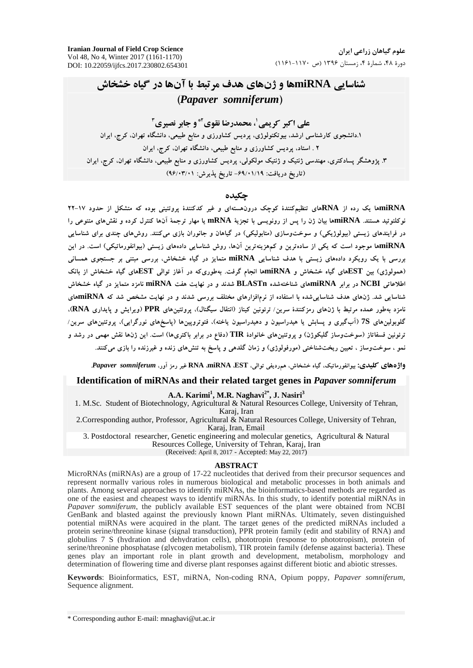**Iranian Journal of Field Crop Science** Vol 48, No 4, Winter 2017 (1161-1170) DOI: 10.22059/ijfcs.2017.230802.654301

# شناسایی miRNAها و ژنهای هدف مرتبط با آنها در گیاه خشخاش (Papaver somniferum)

# علے اکبر کریمے'، محمدرضا نقوی آ\* و حابر نصبری آ

۱.دانشجوی کارشناسی ارشد. بیوتکنولوژی، پردیس کشاورزی و منابع طبیعی، دانشگاه تهران. کرج، ایران ۲ ـ استاد، پردیس کشاورزی و منابع طبیعی، دانشگاه تهران، کرج، ایران ۳. پژوهشگر پسادکتری، مهندسی ژنتیک و ژنتیک مولکولی، پردیس کشاورزی و منابع طبیعی، دانشگاه تهران، کرج، ایران (تاريخ دريافت: ۶۹/۰۱/۱۹- تاريخ يذيرش: ۹۶/۰۳/۰۱)

### حكىدە

miRNAها یک رده از RNAهای تنظیمکنندهٔ کوچک درونهستهای و غیر کدکنندهٔ پروتئینی بوده که متشکل از حدود ۱۷-۲۲ نوكلئوتيد هستند. miRNAها بيان ژن را پس از رونويسي با تجزيۀ mRNA يا مهار ترجمۀ آن&ا كنترل كرده و نقشهاى متنوعي را در فرایندهای زیستی (بیولوژیکی) و سوختوسازی (متابولیکی) در گیاهان و جانوران بازی میکنند. روشهای چندی برای شناسایی miRNAها موجود است که یکی از سادهترین و کمهزینهترین آنها، روش شناسایی دادههای زیستی (بیوانفورماتیکی) است. در این بررسی با یک رویکرد دادههای زیستی با هدف شناسایی miRNA متمایز در گیاه خشخاش، بررسی مبتنی بر جستجوی همسانی (همولوژی) بین ESTهای گیاه خشخاش و miRNAها انجام گرفت. بهطوریکه در آغاز توالی ESTهای گیاه خشخاش از بانک اطلاعاتی NCBI در برابر miRNAهای شناختهشده BLASTn شدند و در نهایت هفت miRNA نامزد متمایز در گیاه خشخاش شناسایی شد. ژنهای هدف شناسایی شده با استفاده از نرمافزارهای مختلف بررسی شدند و در نهایت مشخص شد که miRNAهای نامزد بهطور عمده مرتبط با ژنهای رمزکنندهٔ سرین/ ترئونین کیناز (انتقال سیگنال)، پروتئینهای PPR (ویرایش و پایداری RNA). گلوبولینهای 7S (آبگیری و پسابش یا هیدراسیون و دهیدراسیون یاخته)، فتوتروپینها (پاسخهای نورگرایی)، پروتئینهای سرین/ ترئونین فسفاتاز (سوختوساز گلیکوژن) و پروتئینهای خانوادهٔ TIR (دفاع در برابر باکتریها) است. این ژنها نقش مهمی در رشد و نمو ، سوختوساز ، تعیین ریختشناختی (مورفولوژی) و زمان گلدهی و پاسخ به تنش۵ای زنده و غیرزنده را بازی میکنند.

واژههای کلیدی: بیوانفورماتیک، گیاه خشخاش، همردیفی توالی، RNA .miRNA ،EST غیر رمز آور، *Papaver somniferum* 

### Identification of miRNAs and their related target genes in Papaver somniferum

A.A. Karimi<sup>1</sup>, M.R. Naghavi<sup>2\*</sup>, J. Nasiri<sup>3</sup>

1. M.Sc. Student of Biotechnology, Agricultural & Natural Resources College, University of Tehran, Karaj, Iran

2. Corresponding author, Professor, Agricultural & Natural Resources College, University of Tehran, Karaj, Iran, Email

3. Postdoctoral researcher, Genetic engineering and molecular genetics, Agricultural & Natural Resources College, University of Tehran, Karaj, Iran

(Received: April 8, 2017 - Accepted: May 22, 2017)

#### **ABSTRACT**

MicroRNAs (miRNAs) are a group of 17-22 nucleotides that derived from their precursor sequences and represent normally various roles in numerous biological and metabolic processes in both animals and plants. Among several approaches to identify miRNAs, the bioinformatics-based methods are regarded as one of the easiest and cheapest ways to identify miRNAs. In this study, to identify potential miRNAs in Papaver somniferum, the publicly available EST sequences of the plant were obtained from NCBI GenBank and blasted against the previously known Plant miRNAs. Ultimately, seven distinguished potential miRNAs were acquired in the plant. The target genes of the predicted miRNAs included a protein serine/threonine kinase (signal transduction), PPR protein family (edit and stability of RNA) and globulins 7 S (hydration and dehydration cells), phototropin (response to phototropism), protein of serine/threonine phosphatase (glycogen metabolism), TIR protein family (defense against bacteria). These genes play an important role in plant growth and development, metabolism, morphology and determination of flowering time and diverse plant responses against different biotic and abiotic stresses.

Keywords: Bioinformatics, EST, miRNA, Non-coding RNA, Opium poppy, Papaver somniferum, Sequence alignment.

\* Corresponding author E-mail: mnaghavi@ut.ac.ir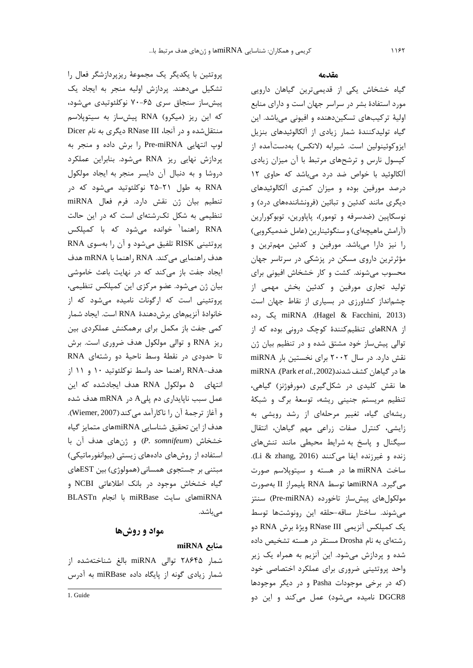پروتئین با یکدیگر یک مجموعهٔ ریزپردازشگر فعال را تشکیل میدهند. پردازش اولیه منجر به ایجاد یک پیش ساز سنجاق سری ۶۵–۷۰ نوکلئوتیدی می شود، که این ریز (میکرو) RNA پیش ساز به سیتوپلاسم منتقل شده و در آنجا، RNase III دیگری به نام Dicer لوپ انتهایی Pre-miRNA را برش داده و منجر به پردازش نهایی ریز RNA میشود. بنابراین عملکرد دروشا و به دنبال آن دايسر منجر به ايجاد مولكول RNA به طول ۲۱-۲۵ نوکلئوتید میشود که در تنطيم بيان ژن نقش دارد. فرم فعال miRNA تنظیمی به شکل تک رشتهای است که در این حالت RNA راهنما<sup>\</sup> خوانده میٖشود که با کمپلکس پروتئینی RISK تلفیق میشود و آن را بهسوی RNA هدف راهنمایی میکند. RNA راهنما با mRNA هدف ایجاد جفت باز میکند که در نهایت باعث خاموشی بیان ژن میشود. عضو مرکزی این کمپلکس تنظیمی، پروتئینی است که ارگونات نامیده می شود که از خانوادهٔ آنزیمهای برشدهههٔ RNA است. ایجاد شمار کمی جفت باز مکمل برای برهمکنش عملکردی بین ریز RNA و توالی مولکول هدف ضروری است. برش تا حدودی در نقطهٔ وسط ناحیهٔ دو رشتهای RNA هدف-RNA راهنما حد واسط نوکلئوتید ۱۰ و ۱۱ از انتهای ۵ مولکول RNA هدف ایجادشده که این عمل سبب ناپایداری دم پلیA در mRNA هدف شده و آغاز ترجمهٔ آن را ناكارآمد میكند(Wiemer, 2007). هدف از این تحقیق شناسایی miRNAهای متمایز گیاه خشخاش (P. somnifeum) و ژنهای هدف آن با استفاده از روشهای دادههای زیستی (بیوانفورماتیکی) مبتنی بر جستجوی همسانی (همولوژی) بین ESTهای گیاه خشخاش موجود در بانک اطلاعاتی NCBI و miRNA با انجام miRBase با انجام BLASTn مے باشد.

### مواد و روشها

## miRNA منابع

شمار ۲۸۶۴۵ توالی miRNA بالغ شناختهشده از شمار زیادی گونه از پایگاه داده miRBase به آدرس

#### مقدمه

گیاه خشخاش یکی از قدیمیترین گیاهان دارویی مورد استفادهٔ بشر در سراسر جهان است و دارای منابع اولیهٔ ترکیبهای تسکیندهنده و افیونی میباشد. این گیاه تولیدکنندهٔ شمار زیادی از آلکالوئیدهای بنزیل ایزوکوئینولین است. شیرابه (لاتکس) بهدستآمده از کپسول نارس و ترشحهای مرتبط با آن میزان زیادی آلکالوئید با خواص ضد درد میباشد که حاوی ١٢ درصد مورفین بوده و میزان کمتری آلکالوئیدهای دیگری مانند کدئین و تبائین (فرونشانندههای درد) و نوسکاپین (ضدسرفه و تومور)، پاپاورین، توبوکورارین (أرامش ماهیچهای) و سنگوئینارین (عامل ضدمیکروبی) را نیز دارا میباشد. مورفین و کدئین مهمترین و مؤثرترین داروی مسکن در پزشکی در سرتاسر جهان محسوب میشوند. کشت و کار خشخاش افیونی برای تولید تجاری مورفین و کدئین بخش مهمی از چشمانداز کشاورزی در بسیاری از نقاط جهان است miRNA .(Hagel & Facchini, 2013). يك رده از RNAهای تنظیم کنندهٔ کوچک درونی بوده که از توالي پيشساز خود مشتق شده و در تنظيم بيان ژن نقش دارد. در سال ۲۰۰۲ برای نخستین بار miRNA ها در گیاهان کشف شدند(Park et al.,2002). miRNA ها نقش کلیدی در شکلگیری (مورفوژنز) گیاهی، تنظیم مریستم جنینی ریشه، توسعهٔ برگ و شبکهٔ ریشهای گیاه، تغییر مرحلهای از رشد رویشی به زایشی، کنترل صفات زراعی مهم گیاهان، انتقال سیگنال و پاسخ به شرایط محیطی مانند تنشهای زنده و غیرزنده ایفا میکنند (Li & zhang, 2016). ساخت miRNA ها در هسته و سیتوپلاسم صورت مي گيرد. miRNAها توسط RNA پليمراز II بهصورت مولکولهای پیشساز تاخورده (Pre-miRNA) سنتز می شوند. ساختار ساقه-حلقه این رونوشتها توسط يک كمپلكس آنزيمي RNase III ويژهٔ برش RNA دو رشتهای به نام Drosha مستقر در هسته تشخیص داده شده و پردازش میشود. این آنزیم به همراه یک زیر واحد پروتئینی ضروری برای عملکرد اختصاصی خود (که در برخی موجودات Pasha و در دیگر موجودها DGCR8 نامیده میشود) عمل میکند و این دو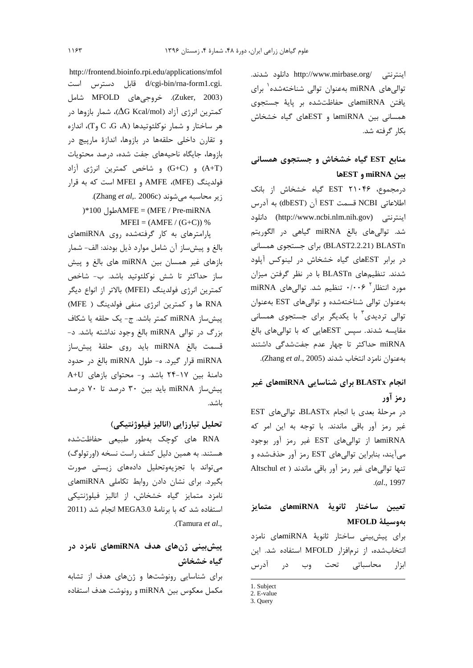اینترنتی /http://www.mirbase.org دانلود شدند. توالی های miRNA بهعنوان توالی شناختهشده ٰ برای یافتن miRNAهای حفاظتشده بر پایهٔ جستجوی همسانی بین miRNAها و ESTهای گیاه خشخاش بكار گرفته شد.

# منابع EST گیاه خشخاش و جستجوی همسانی بين miRNA و ESTها

درمجموع، ۲۱۰۴۶ EST گیاه خشخاش از بانک اطلاعاتي NCBI قسمت EST آن (dbEST) به آدرس اينترنتي (http://www.ncbi.nlm.nih.gov) دانلود شد. توالیهای بالغ miRNA گیاهی در الگوریتم BLAST2.2.21) BLASTn) برای جستجوی همسانی در برابر ESTهای گیاه خشخاش در لینوکس آپلود شدند. تنظیمهای BLASTn با در نظر گرفتن میزان مورد انتظار ۰/۰۰۶ تنظیم شد. توالی های miRNA به عنوان توالی شناخته شده و توالی های EST به عنوان توالی تردیدی<sup>۳</sup> با یکدیگر برای جستجوی همسانی مقایسه شدند. سپس ESTهایی که با توالی های بالغ miRNA حداکثر تا چهار عدم جفتشدگی داشتند بهعنوان نامزد انتخاب شدند (Zhang et al., 2005).

# انجام BLASTx برای شناسایی miRNAهای غیر رمز آور

در مرحلة بعدى با انجام BLASTx، توالي هاى EST غیر رمز آور باقی ماندند. با توجه به این امر که miRNA از توالیهای EST غیر رمز آور بوجود میآیند، بنابراین توالیهای EST رمز آور حذفشده و تنها توالى هاى غير رمز آور باقى ماندند ( Altschul et .(al., 1997

# تعیین ساختار ثانویهٔ miRNAهای متمایز بەوسىلة MFOLD

برای پیشبینی ساختار ثانویهٔ miRNAهای نامزد انتخابشده، از نرمافزار MFOLD استفاده شد. این ابزار محاسباتی تحت وب در آدرس

http://frontend.bioinfo.rpi.edu/applications/mfol .d/cgi-bin/rna-form1.cgi قابل دسترس است (Zuker, 2003). خروجیهای MFOLD شامل كمترين انرژى آزاد (∆G Kcal/mol∆)، شمار بازوها در هر ساختار و شمار نوكلئوتيدها (C ،G ،A) وT)، اندازه و تقارن داخلی حلقهها در بازوها، اندازهٔ مارپیچ در بازوها، جايگاه ناحيههاى جفت شده، درصد محتويات (A+T) و (G+C) و شاخص كمترين انرژى آزاد فولدينگ (MFE)، AMFE و MFEI است كه به قرار زير محاسبه مى شوند (Zhang et al,. 2006c).  $*100$   $\Delta MFE = (MFE / Pre-miRNA)$ 

 $MFEI = (AMFE / (G+C)) %$ 

پارامترهای به کار گرفتهشده روی miRNAهای بالغ و پیش ساز آن شامل موارد ذیل بودند: الف- شمار بازهای غیر همسان بین miRNA های بالغ و پیش ساز حداکثر تا شش نوکلئوتید باشد. ب- شاخص كمترين انرژي فولدينگ (MFEI) بالاتر از انواع ديگر RNA ها و کمترین انرژی منفی فولدینگ ( MFE) پیشساز miRNA کمتر باشد. ج- یک حلقه یا شکاف بزرگ در توالي miRNA بالغ وجود نداشته باشد. د-قسمت بالغ miRNA بايد روى حلقهٔ پيش،ساز miRNA قرار گیرد. ه- طول miRNA بالغ در حدود دامنهٔ بین ۱۷-۲۴ باشد. و- محتوای بازهای A+U ییش ساز miRNA باید بین ۳۰ درصد تا ۷۰ درصد باشد.

## تحليل تبارزايي (اناليز فيلوژنتيكي)

RNA های کوچک بهطور طبیعی حفاظتشده هستند. به همین دلیل کشف راست نسخه (اورتولوگ) می تواند با تجزیهوتحلیل دادههای زیستی صورت بگیرد. برای نشان دادن روابط تکاملی miRNAهای نامزد متمایز گیاه خشخاش، از انالیز فیلوژنتیکی استفاده شد که با برنامهٔ MEGA3.0 انجام شد (2011 .(Tamura et al.,

# پیشبینی ژنهای هدف miRNAهای نامزد در گیاه خشخاش

برای شناسایی رونوشتها و ژنهای هدف از تشابه مکمل معکوس بین miRNA و رونوشت هدف استفاده

<sup>1.</sup> Subject

<sup>2.</sup> E-value 3. Query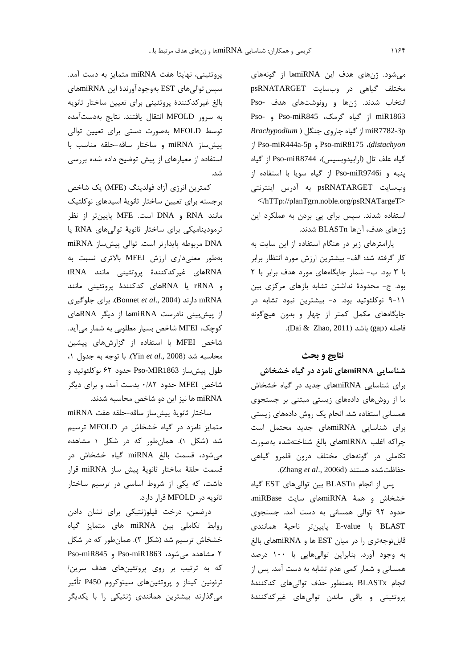میشود. ژنهای هدف این miRNAاها از گونههای مختلف گیاهی در وبسایت psRNATARGET انتخاب شدند. ژنها و رونوشتهای هدف -Pso miR1863 از گیاه گرمک، Pso-miR845 و -Pso miR7782-3p از گیاه جاروی جنگل ( Brachypodium j Pso-miR444a-5p , Pso-miR8175 ، (distachyon گیاه علف تال (ارابیدوبسیس)، Pso-miR8744 از گیاه پنبه و Pso-miR9746i از گیاه سویا با استفاده از وبسايت psRNATARGET به آدرس اينترنتي </hTTp://planTgrn.noble.org/psRNATargeT> استفاده شدند. سپس برای پی بردن به عملکرد این

ژنهای هدف، آنها BLASTn شدند.

پارامترهای زیر در هنگام استفاده از این سایت به كار گرفته شد: الف- بيشترين ارزش مورد انتظار برابر با ٣ بود. ب- شمار جايگاههاى مورد هدف برابر با ٢ بود. ج- محدودهٔ نداشتن تشابه بازهای مرکزی بین ۰۱۱–۹ نوکلئوتید بود. د- بیشترین نبود تشابه در جایگاههای مکمل کمتر از چهار و بدون هیچگونه فاصله (gap) باشد (Dai & Zhao, 2011).

#### نتايج و بحث

#### شناسایی miRNAهای نامزد در گیاه خشخاش

برای شناسایی miRNAهای جدید در گیاه خشخاش ما از روشهای دادههای زیستی مبتنی بر جستجوی همسانی استفاده شد. انجام یک روش دادههای زیستی برای شناسایی miRNAهای جدید محتمل است چراكه اغلب miRNAهاى بالغ شناختهشده بهصورت تکاملی در گونههای مختلف درون قلمرو گیاهی حفاظتشده هستند (Zhang et al., 2006d).

پس از انجام BLASTn بين توالي هاي EST گياه خشخاش و همهٔ miRNAهای سایت miRBase، حدود ۹۲ توالی همسانی به دست آمد. جستجوی BLAST با E-value يايين تر ناحيهٔ همانندی قابل توجه تری را در میان EST ها و miRNAهای بالغ به وجود آورد. بنابراین توالیهایی با ۱۰۰ درصد همسانی و شمار کمی عدم تشابه به دست آمد. پس از انجام BLASTx بەمنظور حذف توالی0ای کدکنندۂ پروتئینی و باقی ماندن توالیهای غیرکدکنندهٔ

یروتئینی، نهایتا هفت miRNA متمایز به دست آمد. سپس توالي هاي EST بهوجود آورندهٔ اين miRNAهاي بالغ غيركدكنندة پروتئيني براي تعيين ساختار ثانويه به سرور MFOLD انتقال یافتند. نتایج بهدستآمده توسط MFOLD بهصورت دستی برای تعیین توالی پیش ساز miRNA و ساختار ساقه-حلقه مناسب با استفاده از معیارهای از پیش توضیح داده شده بررسی شد.

كمترين انرژي آزاد فولدينگ (MFE) يک شاخص برجسته برای تعیین ساختار ثانویهٔ اسیدهای نوکلئیک مانند RNA و DNA است. MFE پايينتر از نظر ترمودینامیکی برای ساختار ثانویهٔ توالیهای RNA یا DNA مربوطه پایدارتر است. توالی پیش ساز miRNA بهطور معنى دارى ارزش MFEI بالاترى نسبت به RNAهای غیرکدکنندهٔ پروتئینی مانند RNA و rRNA يا RNAهاى كدكنندة پروتئينى مانند mRNA دارند (Bonnet et al., 2004). برای جلوگیری از پیشبینی نادرست miRNAا از دیگر RNAهای کوچک، MFEI شاخص بسیار مطلوبی به شمار میآید. شاخص MFEI با استفاده از گزارشهای پیشین محاسبه شد (Yin et al., 2008). با توجه به جدول ١، طول پیشساز Pso-MIR1863 حدود ۶۲ نوکلئوتید و شاخص MFEI حدود ۰/۸۲ بدست آمد، و برای دیگر miRNA ها نیز این دو شاخص محاسبه شدند.

ساختار ثانوية پيش ساز ساقه-حلقه هفت miRNA متمایز نامزد در گیاه خشخاش در MFOLD ترسیم شد (شکل ۱). همان طور که در شکل ۱ مشاهده میشود، قسمت بالغ miRNA گیاه خشخاش در قسمت حلقهٔ ساختار ثانویهٔ پیش ساز miRNA قرار داشت، که یکی از شروط اساسی در ترسیم ساختار ثانويه در MFOLD قرار دارد.

درضمن، درخت فیلوژنتیکی برای نشان دادن روابط تكاملي بين miRNA هاي متمايز گياه خشخاش ترسیم شد (شکل ۲). همانطور که در شکل ۲ مشاهده میشود، Pso-miR1863 و Pso-miR845 که به ترتیب بر روی پروتئینهای هدف سرین/ ترئونین کیناز و پروتئینهای سیتوکروم P450 تأثیر میگذارند بیشترین همانندی ژنتیکی را با یکدیگر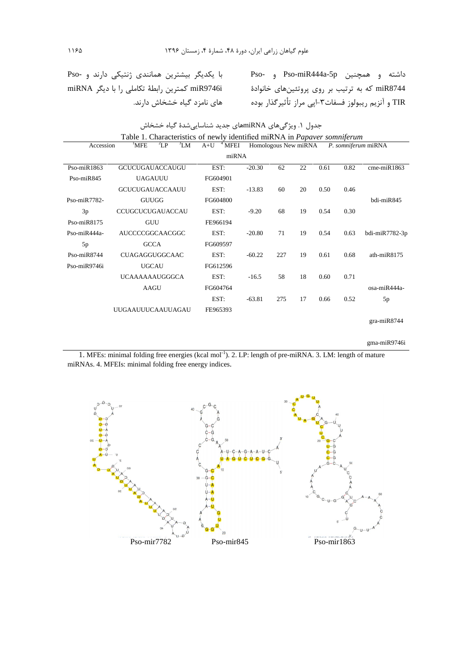داشته و همچنین Pso-miR444a-5p و -Pso با یکدیگر بیشترین همانندی ژنتیکی دارند و -Pso<br>miR8744 که به ترتیب بر روی پروتئینهای خانوادهٔ سا miR9746i کمترین رابطهٔ تکاملی را با دیگر miRNA<br>TIR و آنزیم ریبولوز فسفات۳-اپی مراز تأثیر

|                                                       | Table 1. Characteristics of newly identified miRNA in <i>Papaver somniferum</i> |                         |                                             |     |    |      |      |                   |
|-------------------------------------------------------|---------------------------------------------------------------------------------|-------------------------|---------------------------------------------|-----|----|------|------|-------------------|
| ${}^{3}LM$<br>$^2LP$<br>Accession<br><sup>1</sup> MFE |                                                                                 | $A+U$ <sup>4</sup> MFEI | Homologous New miRNA<br>P. somniferum miRNA |     |    |      |      |                   |
|                                                       |                                                                                 | miRNA                   |                                             |     |    |      |      |                   |
| $Pso-miR1863$                                         | <b>GCUCUGAUACCAUGU</b>                                                          | EST:                    | $-20.30$                                    | 62  | 22 | 0.61 | 0.82 | $c$ me-mi $R1863$ |
| Pso-miR845                                            | <b>UAGAUUU</b>                                                                  | FG604901                |                                             |     |    |      |      |                   |
|                                                       | <b>GCUCUGAUACCAAUU</b>                                                          | EST:                    | $-13.83$                                    | 60  | 20 | 0.50 | 0.46 |                   |
| Pso-miR7782-                                          | <b>GUUGG</b>                                                                    | FG604800                |                                             |     |    |      |      | bdi-miR845        |
| 3p                                                    | CCUGCUCUGAUACCAU                                                                | EST:                    | $-9.20$                                     | 68  | 19 | 0.54 | 0.30 |                   |
| $Pso-miR8175$                                         | GUU                                                                             | FE966194                |                                             |     |    |      |      |                   |
| $Pso-miR444a-$                                        | AUCCCCGGCAACGGC                                                                 | EST:                    | $-20.80$                                    | 71  | 19 | 0.54 | 0.63 | bdi-miR7782-3p    |
| 5p                                                    | <b>GCCA</b>                                                                     | FG609597                |                                             |     |    |      |      |                   |
| $Pso-miR8744$                                         | <b>CUAGAGGUGGCAAC</b>                                                           | EST:                    | $-60.22$                                    | 227 | 19 | 0.61 | 0.68 | ath- $miR8175$    |
| $Pso-miR9746i$                                        | <b>UGCAU</b>                                                                    | FG612596                |                                             |     |    |      |      |                   |
|                                                       | <b>UCAAAAAAUGGGCA</b>                                                           | EST:                    | $-16.5$                                     | 58  | 18 | 0.60 | 0.71 |                   |
|                                                       | <b>AAGU</b>                                                                     | FG604764                |                                             |     |    |      |      | $osa-miR444a-$    |
|                                                       |                                                                                 | EST:                    | $-63.81$                                    | 275 | 17 | 0.66 | 0.52 | 5p                |
|                                                       | <b>UUGAAUUUCAAUUAGAU</b>                                                        | FE965393                |                                             |     |    |      |      |                   |
|                                                       |                                                                                 |                         |                                             |     |    |      |      | $gra-miR8744$     |

جدول ۱. ویژگیِهای miRNAهای جدید شناساییِشدهٔ گیاه خشخاش

gma-miR9746i

1. MFEs: minimal folding free energies (kcal mol<sup>-1</sup>). 2. LP: length of pre-miRNA. 3. LM: length of mature miRNAs. 4. MFEIs: minimal folding free energy indices.

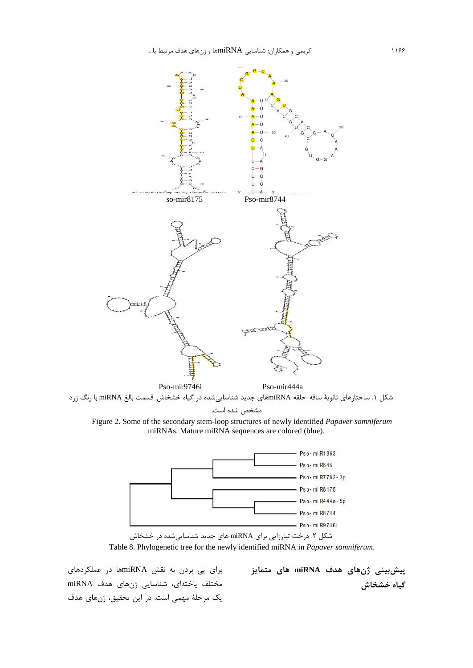

شکل ۱. ساختارهای ثانویهٔ ساقه-حلقه miRNAهای جدید شناساییشده در گیاه خشخاش. قسمت بالغ miRNA با رنگ زرد مشخص شده است.

Figure 2. Some of the secondary stem-loop structures of newly identified Papaver somniferum miRNAs. Mature miRNA sequences are colored (blue).



شکل ۲. درخت تبارزایی برای miRNA های جدید شناسایی شده در خشخاش Table 8. Phylogenetic tree for the newly identified miRNA in Papaver somniferum.

برای پی بردن به نقش miRNAها در عملکردهای مختلف یاختهای، شناسایی ژنهای هدف miRNA یک مرحلهٔ مهمی است. در این تحقیق، ژنهای هدف

پیشبینی ژنهای هدف miRNA های متمایز گیاه خشخاش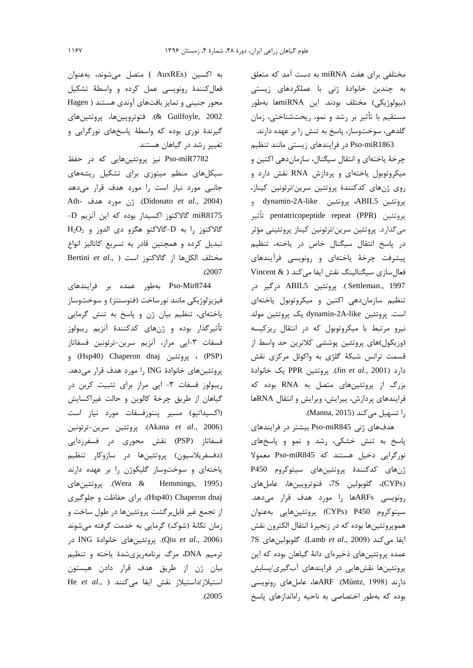مختلفی برای هفت miRNA به دست آمد که متعلق به چندین خانوادهٔ ژنی با عملکردهای زیستی (بيولوژيكي) مختلف بودند. اين miRNAها بهطور مستقیم با تأثیر بر رشد و نمو، ریختشناختی، زمان گلدهی، سوختوساز، پاسخ به تنش را بر عهده دارند.

Pso-miR1863 در فرایندهای زیستی مانند تنظیم چرخهٔ یاختهای و انتقال سیگنال، سازماندهی اکتین و میکروتوبول یاختهای و پردازش RNA نقش دارد و روى ژنهاى كدكنندة پروتئين سرين/ترئونين كيناز، پروتئين ABIL5، پروتئين dynamin-2A-like و يروتئين pentatricopeptide repeat (PPR) تأثير مىگذارد. پروتئين سرين/ترئونين كيناز پروتئينى مؤثر در پاسخ انتقال سیگنال خاص در یاخته، تنظیم پیشرفت چرخهٔ یاختهای و رونویسی فرآیندهای فعال سازی سیگنالینگ نقش ایفا می کند ( & Vincent Settleman., 1997). پروتئين ABIL5 درگير در تنظیم سازمان دهی اکتین و میکروتوبول یاختهای است. پروتئین dynamin-2A-like یک پروتئین مولد نیرو مرتبط با میکروتوبول که در انتقال ریزکیسه (وزیکول)های پروتئین پوششی کلاترین حد واسط از قسمت ترانس شبکهٔ گلژی به واکوئل مرکزی نقش دارد (Jin et al., 2001). پروتئين PPR يک خانوادهٔ بزرگ از پروتئینهای متصل به RNA بوده که فرایندهای پردازش، پیرایش، ویرایش و انتقال RNAها را تسهيل مي كند (Manna, 2015).

هدفهای ژنی Pso-miR845 بیشتر در فرایندهای پاسخ به تنش خشکی، رشد و نمو و پاسخهای نورگرایی دخیل هستند که Pso-miR845 معمولا ژنهای کدکنندهٔ پروتئینهای سیتوکروم P450 (CYPs)، گلوبولين 7S، فتوتروپينها، عاملهاي رونویسی ARFsها را مورد هدف قرار میدهد. سيتوكروم CYPs) P450) پروتئينهايي بهعنوان هموپروتئینها بوده که در زنجیرهٔ انتقال الکترون نقش 7S ايفا مي كند (Lamb et al., 2009). كلوبولين هاي عمده پروتئینهای ذخیرهای دانهٔ گیاهان بوده که این پروتئینها نقشهایی در فرایندهای آبگیری/پسابش دارند (Müntz, 1998). ARFها، عاملهای رونویسی بوده که بهطور اختصاصی به ناحیه راهاندازهای پاسخ

به اکسین (AuxREs ) متصل میشوند، بهعنوان فعال کنندهٔ رونویسی عمل کرده و واسطهٔ تشکیل محور جنینی و تمایز بافتهای آوندی هستند ( Hagen & Guilfoyle, 2002). فتوتروپینها، پروتئینهای گیرندهٔ نوری بوده که واسطهٔ پاسخهای نورگرایی و تغییر رشد در گیاهان هستند.

Pso-miR7782 نیز پروتئینهایی که در حفظ سیکلهای منظم میتوزی برای تشکیل ریشههای جانبی مورد نیاز است را مورد هدف قرار میدهد Ath- ثن مورد هدف). (Didonato et al., 2004) miR8175 گالاکتوز اکسیداز بوده که این آنزیم D- $H_2O_2$  گالاکتوز را به D-گالاکتو هگزو دی الدوز و تبدیل کرده و همچنین قادر به تسریع کاتالیز انواع Bertini et al., ) از گالاكتوز است ( .. Bertini et al  $. (2007$ 

Pso-Mir8744 بهطور عمده بر فرايندهاى فيزيزلوژيكي مانند نورساخت (فتوسنتز) و سوختوساز ياختهاى، تنظيم بيان ژن و پاسخ به تنش گرمايي تأثيرگذار بوده و ژنهای کدکنندهٔ آنزيم ريبولوز فسفات ٣-اپي مراز، آنزيم سرين-ترئونين فسفاتاز (PSP) ، پروتئين (Hsp40) Chaperon dnaj و. پروتئینهای خانوادهٔ ING را مورد هدف قرار میدهد. ریبولوز فسفات ٣- اپی مراز برای تثبیت کربن در گیاهان از طریق چرخهٔ کالوین و حالت غیراکسایش (اكسيداتيو) مسير پنتوزفسفات مورد نياز است (Akana et al., 2006). پروتئين سرين-ترئونين فسفاتاز (PSP) نقش محوری در فسفرزدایی (دفسفريلاسيون) پروتئينها در سازوكار تنظيم یاختهای و سوختوساز گلیکوژن را بر عهده دارند (Wera & Hemmings, 1995). پروتئينهای (Hsp40) Chaperon dnaj)، برای حفاظت و جلوگیری از تجمع غیر قابلبرگشت پروتئینها در طول ساخت و زمان تکانهٔ (شوک) گرمایی به خدمت گرفته میشوند در (Qiu et al., 2006). پروتئينهای خانوادهٔ ING در ترمیم DNA، مرگ برنامهریزیشدهٔ یاخته و تنظیم بیان ژن از طریق هدف قرار دادن هیستون استيلاز/داستيلاز نقش ايفا مى كنند ( ,He et al  $. (2005$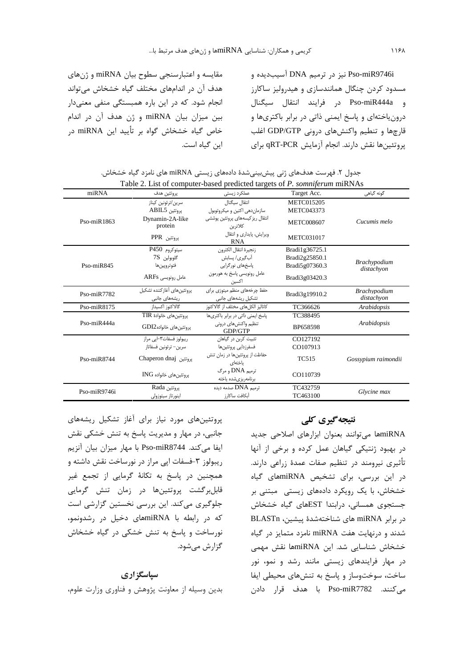Pso-miR9746i نيز در ترميم DNA آسيبديده و مسدود کردن چنگال همانندسازی و هیدرولیز ساکارز و Pso-miR444a در فرايند انتقال سيگنال درون یاختهای و پاسخ ایمنی ذاتی در برابر باکتریها و قارچها و تنطیم واکنشهای درونی GDP/GTP اغلب پروتئينها نقش دارند. انجام آزمايش qRT-PCR براي

مقايسه و اعتبارسنجي سطوح بيان miRNA و ژنهاي هدف آن در اندامهای مختلف گیاه خشخاش میتواند انجام شود. که در این باره همبستگی منفی معنیدار بين ميزان بيان miRNA و ژن هدف آن در اندام خاص گیاه خشخاش گواه بر تأیید این miRNA در این گیاه است.

|               | Table 2. List of computer-based predicted targets of P. somniferum miRNAs |                                             |                   |                                   |  |  |  |  |
|---------------|---------------------------------------------------------------------------|---------------------------------------------|-------------------|-----------------------------------|--|--|--|--|
| miRNA         | پروتئين هدف                                                               | عملکرد زیستی                                | Target Acc.       | گونه گیاهی                        |  |  |  |  |
|               | ِ سرین /ترئونین کیناز                                                     | انتقال سيگنال                               | <b>METC015205</b> |                                   |  |  |  |  |
|               | يروتئين ABIL5                                                             | سازمان دهی اکتین و میکروتوبول               | <b>METC043373</b> |                                   |  |  |  |  |
| $Pso-miR1863$ | Dynamin-2A-like<br>protein                                                | انتقال ریز کیسههای پروتئین پوششی<br>كلاترين | <b>METC008607</b> | Cucumis melo                      |  |  |  |  |
|               | پروتئين PPR                                                               | ویرایش، پایداری و انتقال<br><b>RNA</b>      | <b>METC031017</b> |                                   |  |  |  |  |
|               | سیتوکروم P450                                                             | زنجيرة انتقال الكترون                       | Bradi1g36725.1    |                                   |  |  |  |  |
|               | $7S$ گلوبولين                                                             | آب <i>گ</i> یری/ پسابش                      | Bradi2g25850.1    |                                   |  |  |  |  |
| $Pso-miR845$  | فتوتر ويين ها                                                             | یاسخهای نورگرایی                            | Bradi5g07360.3    | <b>Brachypodium</b><br>distachyon |  |  |  |  |
|               | عامل رونویسی ARFs                                                         | عامل رونویسی پاسخ به هورمون<br>اكسين        | Bradi3g03420.3    |                                   |  |  |  |  |
| $Pso-miR7782$ | یروتئینهای آغاز کننده تشکیل                                               | حفظ چرخههای منظم میتوزی برای                | Bradi3g19910.2    | <b>Brachypodium</b>               |  |  |  |  |
|               | ریشەھای جانبی                                                             | تشکیل ریشههای جانبی                         |                   | distachyon                        |  |  |  |  |
| $Pso-miR8175$ | گالاكتوز اكسيداز                                                          | كاتاليز الكل هاى مختلف از گالاكتوز          | TC366626          | Arabidopsis                       |  |  |  |  |
|               | پروتئین های خانوادهٔ TIR                                                  | یاسخ ایمنی ذاتی در برابر باکتریها           | TC388495          |                                   |  |  |  |  |
| $Pso-miR444a$ | یروتئین های خانوادهGDI2                                                   | تنظیم واکنش های درونی<br>GDP/GTP            | BP658598          | Arabidopsis                       |  |  |  |  |
|               | ریبولوز فسفات۳–ایی مراز                                                   | تثبیت کربن در گیاهان                        | CO127192          |                                   |  |  |  |  |
|               | سرين– ترئونين فسفاتاز                                                     | فسفرزدایی پروتئین ها                        | CO107913          |                                   |  |  |  |  |
| $Pso-miR8744$ | يروتئين Chaperon dnaj                                                     | حفاظت از پروتئین ها در زمان تنش<br>باختهای  | <b>TC515</b>      | Gossypium raimondii               |  |  |  |  |
|               | پروتئين هاي خانواده ING                                                   | ترمیم DNA و مرگ<br>برنامەريزىشدە ياختە      | CO110739          |                                   |  |  |  |  |
| Pso-miR9746i  | يروتئين Rada                                                              | ترمیم DNA صدمه دیده                         | TC432759          |                                   |  |  |  |  |
|               | اينورتاز سيتوزولى                                                         | آبكافت ساكارز                               | TC463100          | Glycine max                       |  |  |  |  |

| جدول ۲. فهرست هدفهای ژنی پیشبینیشدهٔ دادههای زیستی miRNA های نامزد گیاه خشخاش. |  |  |
|--------------------------------------------------------------------------------|--|--|
| Table 2. List of computer-based predicted targets of P. somniferum miRNAs      |  |  |

پروتئینهای مورد نیاز برای آغاز تشکیل ریشههای جانبی، در مهار و مدیریت پاسخ به تنش خشکی نقش ايفا ميكند. Pso-miR8744 با مهار ميزان بيان آنزيم ریبولوز ۳-فسفات اپی مراز در نورساخت نقش داشته و همچنین در پاسخ به تکانهٔ گرمایی از تجمع غیر قابلبرگشت پروتئینها در زمان تنش گرمایی جلوگیری میکند. این بررسی نخستین گزارشی است که در رابطه با miRNAهای دخیل در رشدونمو، نورساخت و پاسخ به تنش خشکی در گیاه خشخاش گزارش مىشود.

#### سپاسگزاری

بدین وسیله از معاونت پژوهش و فناوری وزارت علوم،

### نتیجه گیری کلی

miRNAها میتوانند بعنوان ابزارهای اصلاحی جدید در بهبود ژنتیکی گیاهان عمل کرده و برخی از آنها تأثیری نیرومند در تنظیم صفات عمدهٔ زراعی دارند. در این بررسی، برای تشخیص miRNAهای گیاه خشخاش، با یک رویکرد دادههای زیستی مبتنی بر جستجوی همسانی، درابتدا ESTهای گیاه خشخاش در برابر miRNA های شناختهشدهٔ پیشین، BLASTn شدند و درنهایت هفت miRNA نامزد متمایز در گیاه خشخاش شناسایی شد. این miRNAها نقش مهمی در مهار فرایندهای زیستی مانند رشد و نمو، نور ساخت، سوختوساز و پاسخ به تنشهای محیطی ایفا مي كنند. Pso-miR7782 با هدف قرار دادن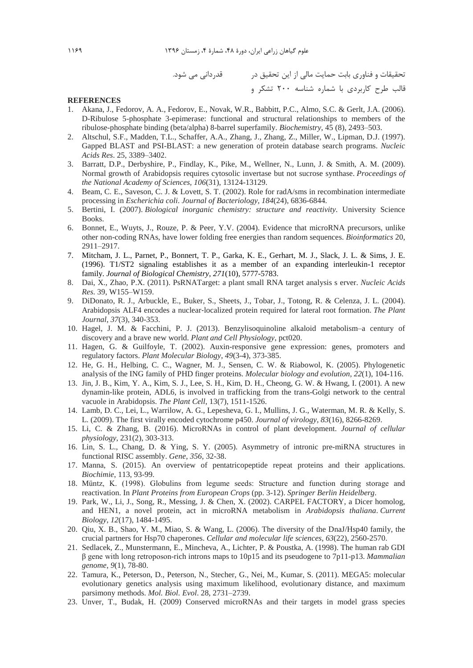تحقیقات و فناوری بابت حمایت مالی از این تحقیق در مستقدردانی می شود. قالب طرح کاربردی با شماره شناسه ۲۰۰ تشکر و

#### **REFERENCES**

- 1. Akana, J., Fedorov, A. A., Fedorov, E., Novak, W.R., Babbitt, P.C., Almo, S.C. & Gerlt, J.A. (2006). D-Ribulose 5-phosphate 3-epimerase: functional and structural relationships to members of the ribulose-phosphate binding (beta/alpha) 8-barrel superfamily. Biochemistry, 45 (8), 2493-503.
- 2. Altschul, S.F., Madden, T.L., Schaffer, A.A., Zhang, J., Zhang, Z., Miller, W., Lipman, D.J. (1997). Gapped BLAST and PSI-BLAST: a new generation of protein database search programs. Nucleic Acids Res. 25, 3389-3402.
- 3. Barratt, D.P., Derbyshire, P., Findlay, K., Pike, M., Wellner, N., Lunn, J. & Smith, A. M. (2009). Normal growth of Arabidopsis requires cytosolic invertase but not sucrose synthase. Proceedings of the National Academy of Sciences, 106(31), 13124-13129.
- 4. Beam, C. E., Saveson, C. J. & Lovett, S. T. (2002). Role for radA/sms in recombination intermediate processing in Escherichia coli. Journal of Bacteriology, 184(24), 6836-6844.
- 5. Bertini, I. (2007). Biological inorganic chemistry: structure and reactivity. University Science Books.
- 6. Bonnet, E., Wuyts, J., Rouze, P. & Peer, Y.V. (2004). Evidence that microRNA precursors, unlike other non-coding RNAs, have lower folding free energies than random sequences. Bioinformatics 20, 2911-2917.
- 7. Mitcham, J. L., Parnet, P., Bonnert, T. P., Garka, K. E., Gerhart, M. J., Slack, J. L. & Sims, J. E.  $(1996)$ . T $1/\sqrt{ST2}$  signaling establishes it as a member of an expanding interleukin-1 receptor family. Journal of Biological Chemistry, 271(10), 5777-5783.
- 8. Dai, X., Zhao, P.X. (2011). PsRNATarget: a plant small RNA target analysis s erver. Nucleic Acids Res. 39, W155-W159.
- 9. DiDonato, R. J., Arbuckle, E., Buker, S., Sheets, J., Tobar, J., Totong, R. & Celenza, J. L. (2004). Arabidopsis ALF4 encodes a nuclear-localized protein required for lateral root formation. The Plant Journal, 37(3), 340-353.
- 10. Hagel, J. M. & Facchini, P. J. (2013). Benzylisoquinoline alkaloid metabolism-a century of discovery and a brave new world. Plant and Cell Physiology, pct020.
- 11. Hagen, G. & Guilfoyle, T. (2002). Auxin-responsive gene expression: genes, promoters and regulatory factors. Plant Molecular Biology, 49(3-4), 373-385.
- 12. He, G. H., Helbing, C. C., Wagner, M. J., Sensen, C. W. & Riabowol, K. (2005). Phylogenetic analysis of the ING family of PHD finger proteins. Molecular biology and evolution, 22(1), 104-116.
- 13. Jin, J. B., Kim, Y. A., Kim, S. J., Lee, S. H., Kim, D. H., Cheong, G. W. & Hwang, I. (2001). A new dynamin-like protein, ADL6, is involved in trafficking from the trans-Golgi network to the central vacuole in Arabidopsis. The Plant Cell, 13(7), 1511-1526.
- 14. Lamb, D. C., Lei, L., Warrilow, A. G., Lepesheva, G. I., Mullins, J. G., Waterman, M. R. & Kelly, S. L. (2009). The first virally encoded cytochrome p450. Journal of virology, 83(16), 8266-8269.
- 15. Li, C. & Zhang, B. (2016). MicroRNAs in control of plant development. Journal of cellular physiology, 231(2), 303-313.
- 16. Lin, S. L., Chang, D. & Ying, S. Y. (2005). Asymmetry of intronic pre-miRNA structures in functional RISC assembly. Gene, 356, 32-38.
- 17. Manna, S. (2015). An overview of pentatricopeptide repeat proteins and their applications. Biochimie, 113, 93-99.
- 18. Müntz, K. (1998). Globulins from legume seeds: Structure and function during storage and reactivation. In Plant Proteins from European Crops (pp. 3-12). Springer Berlin Heidelberg.
- 19. Park, W., Li, J., Song, R., Messing, J. & Chen, X. (2002). CARPEL FACTORY, a Dicer homolog, and HEN1, a novel protein, act in microRNA metabolism in Arabidopsis thaliana. Current Biology, 12(17), 1484-1495.
- 20. Qiu, X. B., Shao, Y. M., Miao, S. & Wang, L. (2006). The diversity of the DnaJ/Hsp40 family, the crucial partners for Hsp70 chaperones. Cellular and molecular life sciences, 63(22), 2560-2570.
- 21. Sedlacek, Z., Munstermann, E., Mincheva, A., Lichter, P. & Poustka, A. (1998). The human rab GDI  $\beta$  gene with long retroposon-rich introns maps to 10p15 and its pseudogene to 7p11-p13. *Mammalian* genome, 9(1), 78-80.
- 22. Tamura, K., Peterson, D., Peterson, N., Stecher, G., Nei, M., Kumar, S. (2011). MEGA5: molecular evolutionary genetics analysis using maximum likelihood, evolutionary distance, and maximum parsimony methods. Mol. Biol. Evol. 28, 2731-2739.
- 23. Unver, T., Budak, H. (2009) Conserved microRNAs and their targets in model grass species

1189